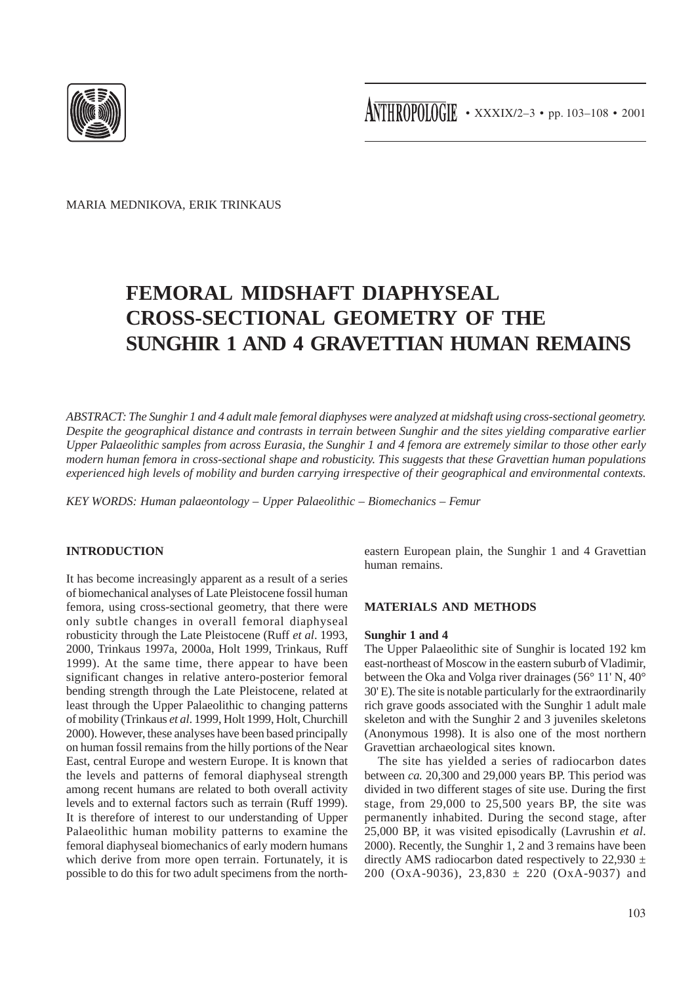

MARIA MEDNIKOVA, ERIK TRINKAUS

# **FEMORAL MIDSHAFT DIAPHYSEAL CROSS-SECTIONAL GEOMETRY OF THE SUNGHIR 1 AND 4 GRAVETTIAN HUMAN REMAINS**

*ABSTRACT: The Sunghir 1 and 4 adult male femoral diaphyses were analyzed at midshaft using cross-sectional geometry. Despite the geographical distance and contrasts in terrain between Sunghir and the sites yielding comparative earlier Upper Palaeolithic samples from across Eurasia, the Sunghir 1 and 4 femora are extremely similar to those other early modern human femora in cross-sectional shape and robusticity. This suggests that these Gravettian human populations experienced high levels of mobility and burden carrying irrespective of their geographical and environmental contexts.*

*KEY WORDS: Human palaeontology – Upper Palaeolithic – Biomechanics – Femur*

# **INTRODUCTION**

It has become increasingly apparent as a result of a series of biomechanical analyses of Late Pleistocene fossil human femora, using cross-sectional geometry, that there were only subtle changes in overall femoral diaphyseal robusticity through the Late Pleistocene (Ruff *et al*. 1993, 2000, Trinkaus 1997a, 2000a, Holt 1999, Trinkaus, Ruff 1999). At the same time, there appear to have been significant changes in relative antero-posterior femoral bending strength through the Late Pleistocene, related at least through the Upper Palaeolithic to changing patterns of mobility (Trinkaus *et al*. 1999, Holt 1999, Holt, Churchill 2000). However, these analyses have been based principally on human fossil remains from the hilly portions of the Near East, central Europe and western Europe. It is known that the levels and patterns of femoral diaphyseal strength among recent humans are related to both overall activity levels and to external factors such as terrain (Ruff 1999). It is therefore of interest to our understanding of Upper Palaeolithic human mobility patterns to examine the femoral diaphyseal biomechanics of early modern humans which derive from more open terrain. Fortunately, it is possible to do this for two adult specimens from the northeastern European plain, the Sunghir 1 and 4 Gravettian human remains.

# **MATERIALS AND METHODS**

#### **Sunghir 1 and 4**

The Upper Palaeolithic site of Sunghir is located 192 km east-northeast of Moscow in the eastern suburb of Vladimir, between the Oka and Volga river drainages (56° 11' N, 40° 30' E). The site is notable particularly for the extraordinarily rich grave goods associated with the Sunghir 1 adult male skeleton and with the Sunghir 2 and 3 juveniles skeletons (Anonymous 1998). It is also one of the most northern Gravettian archaeological sites known.

The site has yielded a series of radiocarbon dates between *ca.* 20,300 and 29,000 years BP. This period was divided in two different stages of site use. During the first stage, from 29,000 to 25,500 years BP, the site was permanently inhabited. During the second stage, after 25,000 BP, it was visited episodically (Lavrushin *et al*. 2000). Recently, the Sunghir 1, 2 and 3 remains have been directly AMS radiocarbon dated respectively to 22,930  $\pm$ 200 (OxA-9036), 23,830 ± 220 (OxA-9037) and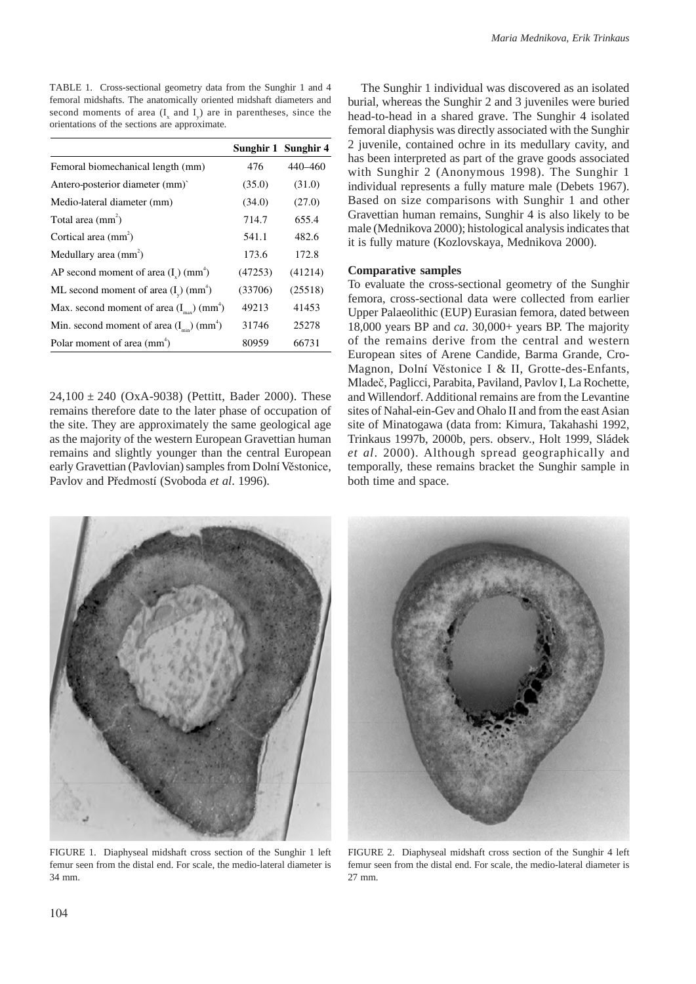TABLE 1. Cross-sectional geometry data from the Sunghir 1 and 4 femoral midshafts. The anatomically oriented midshaft diameters and second moments of area  $(I_x$  and  $I_y$ ) are in parentheses, since the orientations of the sections are approximate.

|                                                                  |         | Sunghir 1 Sunghir 4 |
|------------------------------------------------------------------|---------|---------------------|
| Femoral biomechanical length (mm)                                | 476     | 440-460             |
| Antero-posterior diameter (mm)                                   | (35.0)  | (31.0)              |
| Medio-lateral diameter (mm)                                      | (34.0)  | (27.0)              |
| Total area $(mm2)$                                               | 714.7   | 655.4               |
| Cortical area (mm <sup>2</sup> )                                 | 541.1   | 482.6               |
| Medullary area $(mm^2)$                                          | 173.6   | 172.8               |
| AP second moment of area $(Iv)$ (mm <sup>4</sup> )               | (47253) | (41214)             |
| ML second moment of area $(I_v)$ (mm <sup>+</sup> )              | (33706) | (25518)             |
| Max. second moment of area $(I_{\text{max}})$ (mm <sup>4</sup> ) | 49213   | 41453               |
| Min. second moment of area $(I_{min})$ (mm <sup>4</sup> )        | 31746   | 25278               |
| Polar moment of area (mm <sup>+</sup> )                          | 80959   | 66731               |

 $24,100 \pm 240$  (OxA-9038) (Pettitt, Bader 2000). These remains therefore date to the later phase of occupation of the site. They are approximately the same geological age as the majority of the western European Gravettian human remains and slightly younger than the central European early Gravettian (Pavlovian) samples from Dolní Věstonice, Pavlov and Předmostí (Svoboda *et al*. 1996).

The Sunghir 1 individual was discovered as an isolated burial, whereas the Sunghir 2 and 3 juveniles were buried head-to-head in a shared grave. The Sunghir 4 isolated femoral diaphysis was directly associated with the Sunghir 2 juvenile, contained ochre in its medullary cavity, and has been interpreted as part of the grave goods associated with Sunghir 2 (Anonymous 1998). The Sunghir 1 individual represents a fully mature male (Debets 1967). Based on size comparisons with Sunghir 1 and other Gravettian human remains, Sunghir 4 is also likely to be male (Mednikova 2000); histological analysis indicates that it is fully mature (Kozlovskaya, Mednikova 2000).

#### **Comparative samples**

To evaluate the cross-sectional geometry of the Sunghir femora, cross-sectional data were collected from earlier Upper Palaeolithic (EUP) Eurasian femora, dated between 18,000 years BP and *ca*. 30,000+ years BP. The majority of the remains derive from the central and western European sites of Arene Candide, Barma Grande, Cro-Magnon, Dolní Věstonice I & II, Grotte-des-Enfants, Mladeč, Paglicci, Parabita, Paviland, Pavlov I, La Rochette, and Willendorf. Additional remains are from the Levantine sites of Nahal-ein-Gev and Ohalo II and from the east Asian site of Minatogawa (data from: Kimura, Takahashi 1992, Trinkaus 1997b, 2000b, pers. observ., Holt 1999, Sládek *et al*. 2000). Although spread geographically and temporally, these remains bracket the Sunghir sample in both time and space.



FIGURE 1. Diaphyseal midshaft cross section of the Sunghir 1 left femur seen from the distal end. For scale, the medio-lateral diameter is 34 mm.



FIGURE 2. Diaphyseal midshaft cross section of the Sunghir 4 left femur seen from the distal end. For scale, the medio-lateral diameter is 27 mm.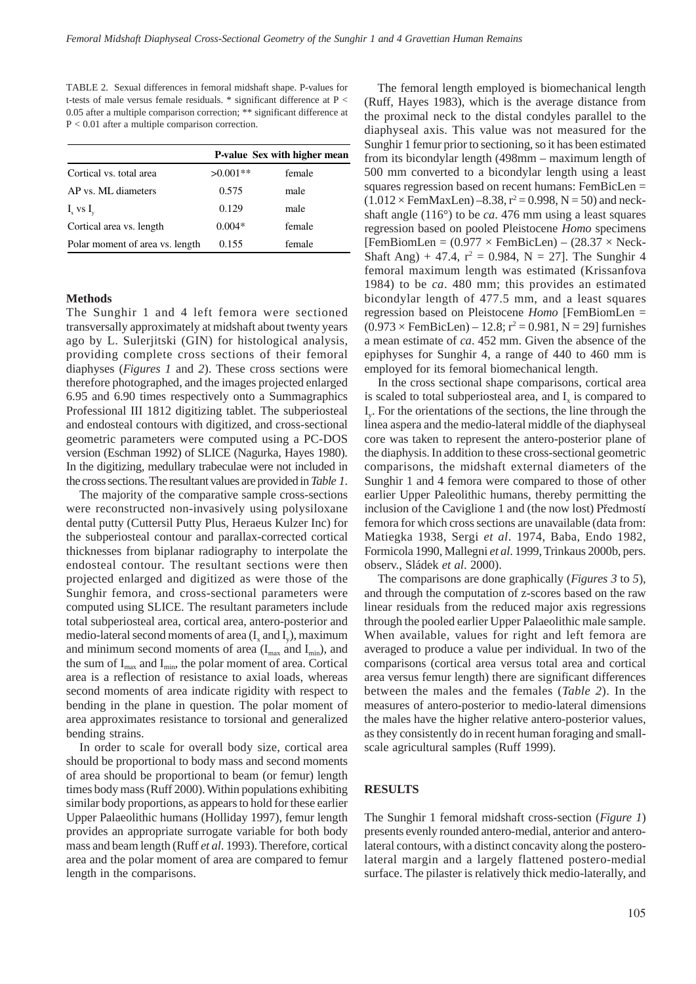TABLE 2. Sexual differences in femoral midshaft shape. P-values for t-tests of male versus female residuals. \* significant difference at P < 0.05 after a multiple comparison correction; \*\* significant difference at P < 0.01 after a multiple comparison correction.

|                                 | <b>P-value Sex with higher mean</b> |        |  |
|---------------------------------|-------------------------------------|--------|--|
| Cortical vs. total area         | $>0.001**$                          | female |  |
| AP vs. ML diameters             | 0.575                               | male   |  |
| $I_{\rm x}$ vs $I_{\rm y}$      | 0.129                               | male   |  |
| Cortical area vs. length        | $0.004*$                            | female |  |
| Polar moment of area vs. length | 0.155                               | female |  |

#### **Methods**

The Sunghir 1 and 4 left femora were sectioned transversally approximately at midshaft about twenty years ago by L. Sulerjitski (GIN) for histological analysis, providing complete cross sections of their femoral diaphyses (*Figures 1* and *2*). These cross sections were therefore photographed, and the images projected enlarged 6.95 and 6.90 times respectively onto a Summagraphics Professional III 1812 digitizing tablet. The subperiosteal and endosteal contours with digitized, and cross-sectional geometric parameters were computed using a PC-DOS version (Eschman 1992) of SLICE (Nagurka, Hayes 1980). In the digitizing, medullary trabeculae were not included in the cross sections. The resultant values are provided in *Table 1*.

The majority of the comparative sample cross-sections were reconstructed non-invasively using polysiloxane dental putty (Cuttersil Putty Plus, Heraeus Kulzer Inc) for the subperiosteal contour and parallax-corrected cortical thicknesses from biplanar radiography to interpolate the endosteal contour. The resultant sections were then projected enlarged and digitized as were those of the Sunghir femora, and cross-sectional parameters were computed using SLICE. The resultant parameters include total subperiosteal area, cortical area, antero-posterior and medio-lateral second moments of area  $(I_x \text{ and } I_y)$ , maximum and minimum second moments of area  $(I<sub>max</sub>$  and  $I<sub>min</sub>$ ), and the sum of  $I_{max}$  and  $I_{min}$ , the polar moment of area. Cortical area is a reflection of resistance to axial loads, whereas second moments of area indicate rigidity with respect to bending in the plane in question. The polar moment of area approximates resistance to torsional and generalized bending strains.

In order to scale for overall body size, cortical area should be proportional to body mass and second moments of area should be proportional to beam (or femur) length times body mass (Ruff 2000). Within populations exhibiting similar body proportions, as appears to hold for these earlier Upper Palaeolithic humans (Holliday 1997), femur length provides an appropriate surrogate variable for both body mass and beam length (Ruff *et al*. 1993). Therefore, cortical area and the polar moment of area are compared to femur length in the comparisons.

The femoral length employed is biomechanical length (Ruff, Hayes 1983), which is the average distance from the proximal neck to the distal condyles parallel to the diaphyseal axis. This value was not measured for the Sunghir 1 femur prior to sectioning, so it has been estimated from its bicondylar length (498mm – maximum length of 500 mm converted to a bicondylar length using a least squares regression based on recent humans: FemBicLen =  $(1.012 \times \text{FemMaxLen}) - 8.38, r^2 = 0.998, N = 50$  and neckshaft angle (116°) to be *ca*. 476 mm using a least squares regression based on pooled Pleistocene *Homo* specimens  $[FemBiomLen = (0.977 \times FemBiclen] - (28.37 \times Neck-$ Shaft Ang) + 47.4,  $r^2 = 0.984$ , N = 27]. The Sunghir 4 femoral maximum length was estimated (Krissanfova 1984) to be *ca*. 480 mm; this provides an estimated bicondylar length of 477.5 mm, and a least squares regression based on Pleistocene *Homo* [FemBiomLen =  $(0.973 \times \text{FemBicLen}) - 12.8$ ;  $r^2 = 0.981$ , N = 29] furnishes a mean estimate of *ca*. 452 mm. Given the absence of the epiphyses for Sunghir 4, a range of 440 to 460 mm is employed for its femoral biomechanical length.

In the cross sectional shape comparisons, cortical area is scaled to total subperiosteal area, and I<sub>x</sub> is compared to Iy. For the orientations of the sections, the line through the linea aspera and the medio-lateral middle of the diaphyseal core was taken to represent the antero-posterior plane of the diaphysis. In addition to these cross-sectional geometric comparisons, the midshaft external diameters of the Sunghir 1 and 4 femora were compared to those of other earlier Upper Paleolithic humans, thereby permitting the inclusion of the Caviglione 1 and (the now lost) Předmostí femora for which cross sections are unavailable (data from: Matiegka 1938, Sergi *et al*. 1974, Baba, Endo 1982, Formicola 1990, Mallegni *et al*. 1999, Trinkaus 2000b, pers. observ., Sládek *et al*. 2000).

The comparisons are done graphically (*Figures 3* to *5*), and through the computation of z-scores based on the raw linear residuals from the reduced major axis regressions through the pooled earlier Upper Palaeolithic male sample. When available, values for right and left femora are averaged to produce a value per individual. In two of the comparisons (cortical area versus total area and cortical area versus femur length) there are significant differences between the males and the females (*Table 2*). In the measures of antero-posterior to medio-lateral dimensions the males have the higher relative antero-posterior values, as they consistently do in recent human foraging and smallscale agricultural samples (Ruff 1999).

## **RESULTS**

The Sunghir 1 femoral midshaft cross-section (*Figure 1*) presents evenly rounded antero-medial, anterior and anterolateral contours, with a distinct concavity along the posterolateral margin and a largely flattened postero-medial surface. The pilaster is relatively thick medio-laterally, and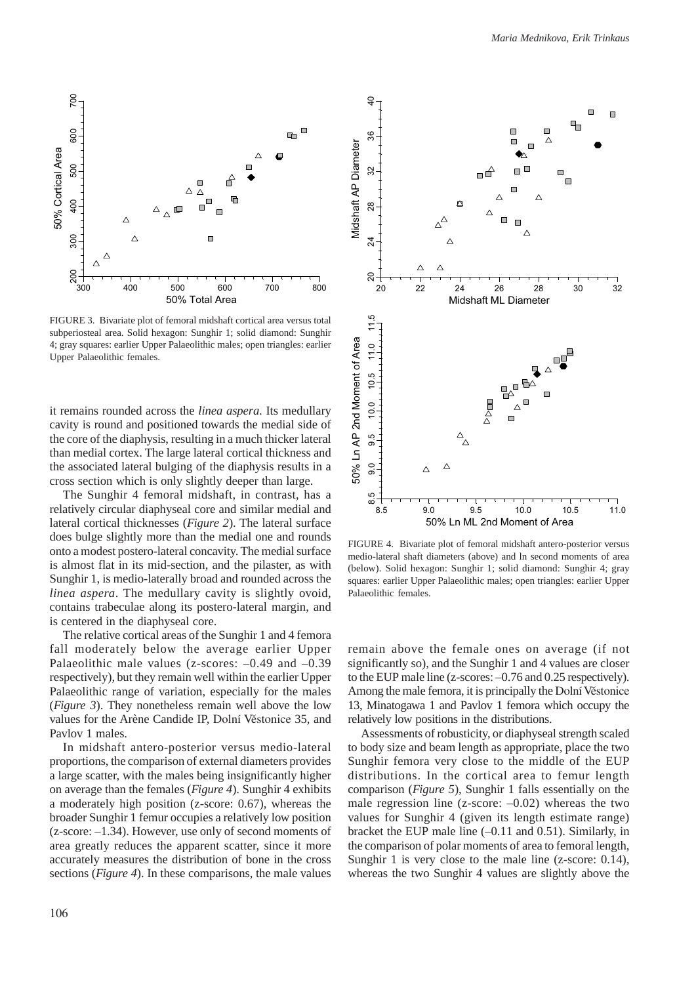

FIGURE 3. Bivariate plot of femoral midshaft cortical area versus total subperiosteal area. Solid hexagon: Sunghir 1; solid diamond: Sunghir 4; gray squares: earlier Upper Palaeolithic males; open triangles: earlier Upper Palaeolithic females.

it remains rounded across the *linea aspera*. Its medullary cavity is round and positioned towards the medial side of the core of the diaphysis, resulting in a much thicker lateral than medial cortex. The large lateral cortical thickness and the associated lateral bulging of the diaphysis results in a cross section which is only slightly deeper than large.

The Sunghir 4 femoral midshaft, in contrast, has a relatively circular diaphyseal core and similar medial and lateral cortical thicknesses (*Figure 2*). The lateral surface does bulge slightly more than the medial one and rounds onto a modest postero-lateral concavity. The medial surface is almost flat in its mid-section, and the pilaster, as with Sunghir 1, is medio-laterally broad and rounded across the *linea aspera*. The medullary cavity is slightly ovoid, contains trabeculae along its postero-lateral margin, and is centered in the diaphyseal core.

The relative cortical areas of the Sunghir 1 and 4 femora fall moderately below the average earlier Upper Palaeolithic male values (z-scores:  $-0.49$  and  $-0.39$ respectively), but they remain well within the earlier Upper Palaeolithic range of variation, especially for the males (*Figure 3*). They nonetheless remain well above the low values for the Arène Candide IP, Dolní Věstonice 35, and Pavlov 1 males.

In midshaft antero-posterior versus medio-lateral proportions, the comparison of external diameters provides a large scatter, with the males being insignificantly higher on average than the females (*Figure 4*). Sunghir 4 exhibits a moderately high position (z-score: 0.67), whereas the broader Sunghir 1 femur occupies a relatively low position (z-score: –1.34). However, use only of second moments of area greatly reduces the apparent scatter, since it more accurately measures the distribution of bone in the cross



FIGURE 4. Bivariate plot of femoral midshaft antero-posterior versus medio-lateral shaft diameters (above) and ln second moments of area (below). Solid hexagon: Sunghir 1; solid diamond: Sunghir 4; gray squares: earlier Upper Palaeolithic males; open triangles: earlier Upper Palaeolithic females.

remain above the female ones on average (if not significantly so), and the Sunghir 1 and 4 values are closer to the EUP male line (z-scores: –0.76 and 0.25 respectively). Among the male femora, it is principally the Dolní Věstonice 13, Minatogawa 1 and Pavlov 1 femora which occupy the relatively low positions in the distributions.

Assessments of robusticity, or diaphyseal strength scaled to body size and beam length as appropriate, place the two Sunghir femora very close to the middle of the EUP distributions. In the cortical area to femur length comparison (*Figure 5*), Sunghir 1 falls essentially on the male regression line ( $z$ -score:  $-0.02$ ) whereas the two values for Sunghir 4 (given its length estimate range) bracket the EUP male line (–0.11 and 0.51). Similarly, in the comparison of polar moments of area to femoral length, Sunghir 1 is very close to the male line (z-score: 0.14), whereas the two Sunghir 4 values are slightly above the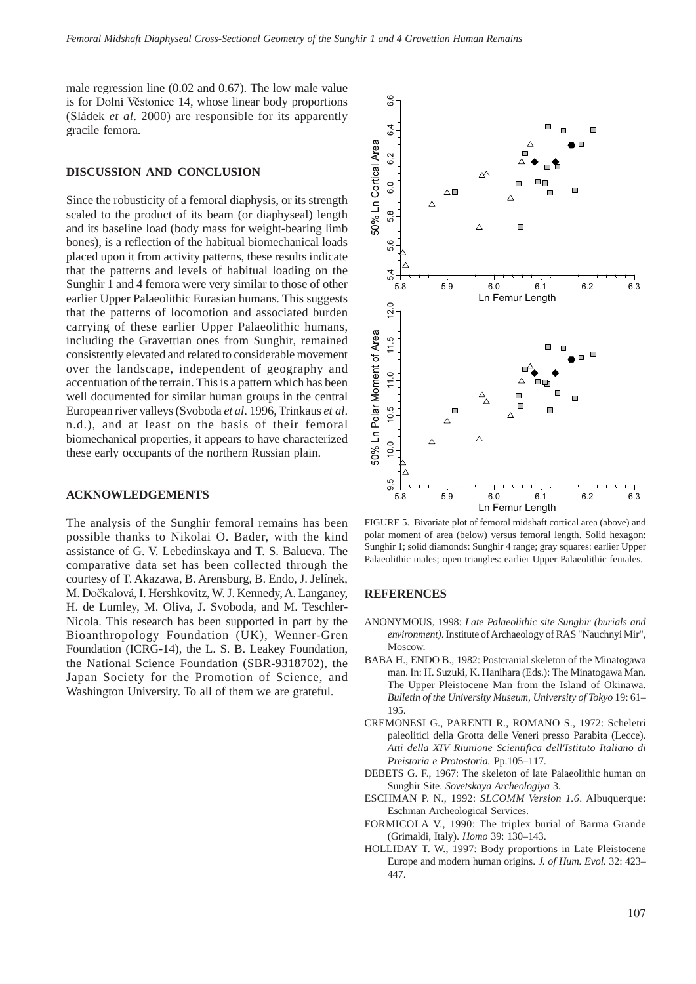male regression line (0.02 and 0.67). The low male value is for Dolní Věstonice 14, whose linear body proportions (Sládek *et al*. 2000) are responsible for its apparently gracile femora.

#### **DISCUSSION AND CONCLUSION**

Since the robusticity of a femoral diaphysis, or its strength scaled to the product of its beam (or diaphyseal) length and its baseline load (body mass for weight-bearing limb bones), is a reflection of the habitual biomechanical loads placed upon it from activity patterns, these results indicate that the patterns and levels of habitual loading on the Sunghir 1 and 4 femora were very similar to those of other earlier Upper Palaeolithic Eurasian humans. This suggests that the patterns of locomotion and associated burden carrying of these earlier Upper Palaeolithic humans, including the Gravettian ones from Sunghir, remained consistently elevated and related to considerable movement over the landscape, independent of geography and accentuation of the terrain. This is a pattern which has been well documented for similar human groups in the central European river valleys (Svoboda *et al*. 1996, Trinkaus *et al*. n.d.), and at least on the basis of their femoral biomechanical properties, it appears to have characterized these early occupants of the northern Russian plain.

## **ACKNOWLEDGEMENTS**

The analysis of the Sunghir femoral remains has been possible thanks to Nikolai O. Bader, with the kind assistance of G. V. Lebedinskaya and T. S. Balueva. The comparative data set has been collected through the courtesy of T. Akazawa, B. Arensburg, B. Endo, J. Jelínek, M. Dočkalová, I. Hershkovitz, W. J. Kennedy, A. Langaney, H. de Lumley, M. Oliva, J. Svoboda, and M. Teschler-Nicola. This research has been supported in part by the Bioanthropology Foundation (UK), Wenner-Gren Foundation (ICRG-14), the L. S. B. Leakey Foundation, the National Science Foundation (SBR-9318702), the Japan Society for the Promotion of Science, and Washington University. To all of them we are grateful.



FIGURE 5. Bivariate plot of femoral midshaft cortical area (above) and polar moment of area (below) versus femoral length. Solid hexagon: Sunghir 1; solid diamonds: Sunghir 4 range; gray squares: earlier Upper Palaeolithic males; open triangles: earlier Upper Palaeolithic females.

### **REFERENCES**

- ANONYMOUS, 1998: *Late Palaeolithic site Sunghir (burials and environment)*. Institute of Archaeology of RAS "Nauchnyi Mir", Moscow.
- BABA H., ENDO B., 1982: Postcranial skeleton of the Minatogawa man. In: H. Suzuki, K. Hanihara (Eds.): The Minatogawa Man. The Upper Pleistocene Man from the Island of Okinawa. *Bulletin of the University Museum, University of Tokyo* 19: 61– 195.
- CREMONESI G., PARENTI R., ROMANO S., 1972: Scheletri paleolitici della Grotta delle Veneri presso Parabita (Lecce). *Atti della XIV Riunione Scientifica dell'Istituto Italiano di Preistoria e Protostoria.* Pp.105–117.
- DEBETS G. F., 1967: The skeleton of late Palaeolithic human on Sunghir Site. *Sovetskaya Archeologiya* 3.
- ESCHMAN P. N., 1992: *SLCOMM Version 1.6*. Albuquerque: Eschman Archeological Services.
- FORMICOLA V., 1990: The triplex burial of Barma Grande (Grimaldi, Italy). *Homo* 39: 130–143.
- HOLLIDAY T. W., 1997: Body proportions in Late Pleistocene Europe and modern human origins. *J. of Hum. Evol.* 32: 423– 447.